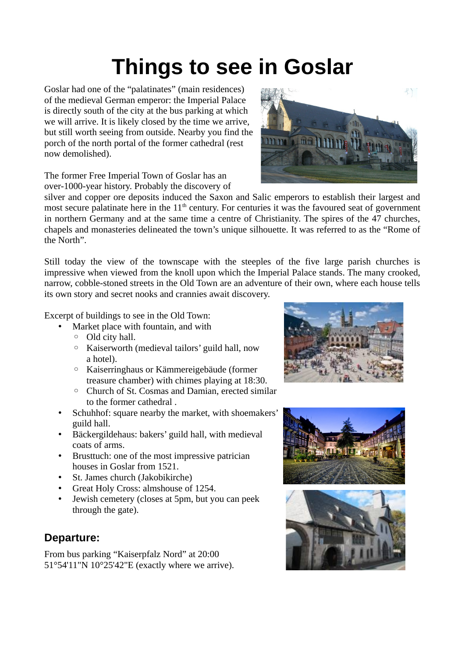## **Things to see in Goslar**

Goslar had one of the "palatinates" (main residences) of the medieval German emperor: the Imperial Palace is directly south of the city at the bus parking at which we will arrive. It is likely closed by the time we arrive, but still worth seeing from outside. Nearby you find the porch of the north portal of the former cathedral (rest now demolished).

The former Free Imperial Town of Goslar has an over-1000-year history. Probably the discovery of

silver and copper ore deposits induced the Saxon and Salic emperors to establish their largest and most secure palatinate here in the  $11<sup>th</sup>$  century. For centuries it was the favoured seat of government in northern Germany and at the same time a centre of Christianity. The spires of the 47 churches, chapels and monasteries delineated the town's unique silhouette. It was referred to as the "Rome of the North".

Still today the view of the townscape with the steeples of the five large parish churches is impressive when viewed from the knoll upon which the Imperial Palace stands. The many crooked, narrow, cobble-stoned streets in the Old Town are an adventure of their own, where each house tells its own story and secret nooks and crannies await discovery.

Excerpt of buildings to see in the Old Town:

- Market place with fountain, and with
- Old city hall.
- Kaiserworth (medieval tailors' guild hall, now a hotel).
- Kaiserringhaus or Kämmereigebäude (former treasure chamber) with chimes playing at 18:30.
- Church of St. Cosmas and Damian, erected similar to the former cathedral
- Schuhhof: square nearby the market, with shoemakers' guild hall.
- Bäckergildehaus: bakers' guild hall, with medieval coats of arms.
- Brusttuch: one of the most impressive patrician houses in Goslar from 1521.
- St. James church (Jakobikirche)
- Great Holy Cross: almshouse of 1254.
- Jewish cemetery (closes at 5pm, but you can peek through the gate).

## **Departure:**

From bus parking "Kaiserpfalz Nord" at 20:00 51°54'11"N 10°25'42"E (exactly where we arrive).